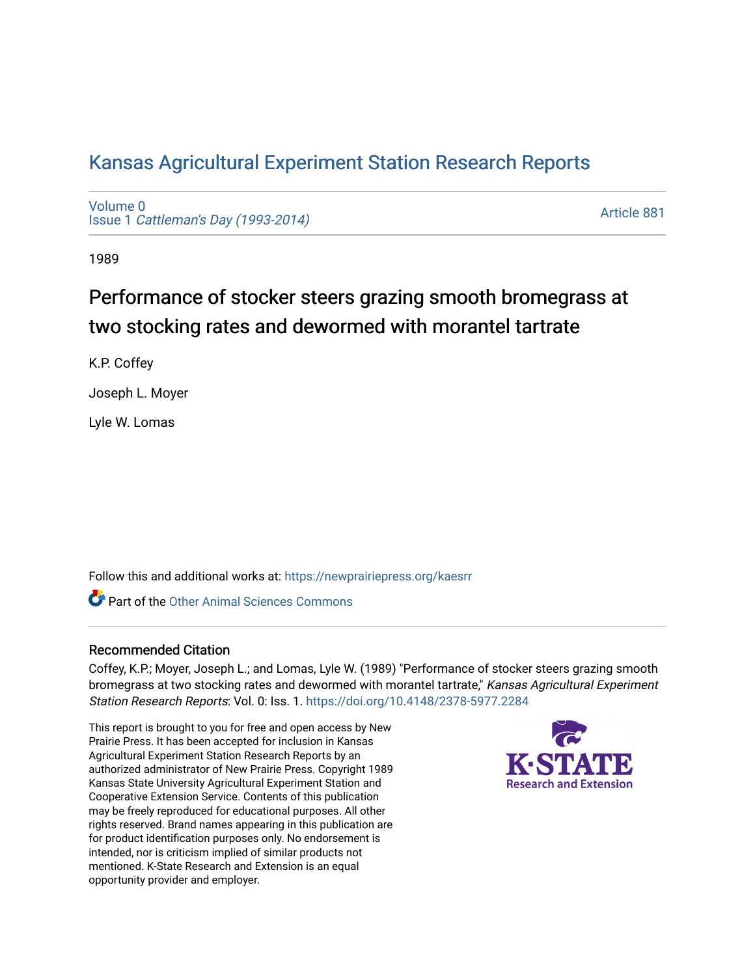# [Kansas Agricultural Experiment Station Research Reports](https://newprairiepress.org/kaesrr)

[Volume 0](https://newprairiepress.org/kaesrr/vol0) Issue 1 [Cattleman's Day \(1993-2014\)](https://newprairiepress.org/kaesrr/vol0/iss1) 

[Article 881](https://newprairiepress.org/kaesrr/vol0/iss1/881) 

1989

# Performance of stocker steers grazing smooth bromegrass at two stocking rates and dewormed with morantel tartrate

K.P. Coffey

Joseph L. Moyer

Lyle W. Lomas

Follow this and additional works at: [https://newprairiepress.org/kaesrr](https://newprairiepress.org/kaesrr?utm_source=newprairiepress.org%2Fkaesrr%2Fvol0%2Fiss1%2F881&utm_medium=PDF&utm_campaign=PDFCoverPages) 

**C** Part of the [Other Animal Sciences Commons](http://network.bepress.com/hgg/discipline/82?utm_source=newprairiepress.org%2Fkaesrr%2Fvol0%2Fiss1%2F881&utm_medium=PDF&utm_campaign=PDFCoverPages)

#### Recommended Citation

Coffey, K.P.; Moyer, Joseph L.; and Lomas, Lyle W. (1989) "Performance of stocker steers grazing smooth bromegrass at two stocking rates and dewormed with morantel tartrate," Kansas Agricultural Experiment Station Research Reports: Vol. 0: Iss. 1.<https://doi.org/10.4148/2378-5977.2284>

This report is brought to you for free and open access by New Prairie Press. It has been accepted for inclusion in Kansas Agricultural Experiment Station Research Reports by an authorized administrator of New Prairie Press. Copyright 1989 Kansas State University Agricultural Experiment Station and Cooperative Extension Service. Contents of this publication may be freely reproduced for educational purposes. All other rights reserved. Brand names appearing in this publication are for product identification purposes only. No endorsement is intended, nor is criticism implied of similar products not mentioned. K-State Research and Extension is an equal opportunity provider and employer.

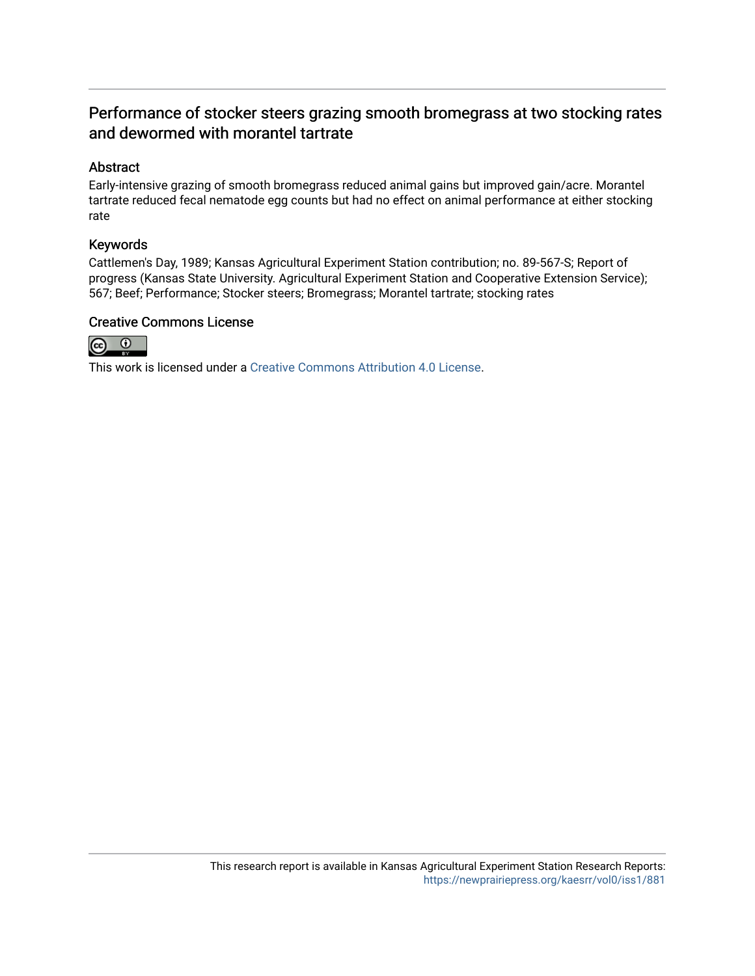## Performance of stocker steers grazing smooth bromegrass at two stocking rates and dewormed with morantel tartrate

#### Abstract

Early-intensive grazing of smooth bromegrass reduced animal gains but improved gain/acre. Morantel tartrate reduced fecal nematode egg counts but had no effect on animal performance at either stocking rate

#### Keywords

Cattlemen's Day, 1989; Kansas Agricultural Experiment Station contribution; no. 89-567-S; Report of progress (Kansas State University. Agricultural Experiment Station and Cooperative Extension Service); 567; Beef; Performance; Stocker steers; Bromegrass; Morantel tartrate; stocking rates

### Creative Commons License



This work is licensed under a [Creative Commons Attribution 4.0 License](https://creativecommons.org/licenses/by/4.0/).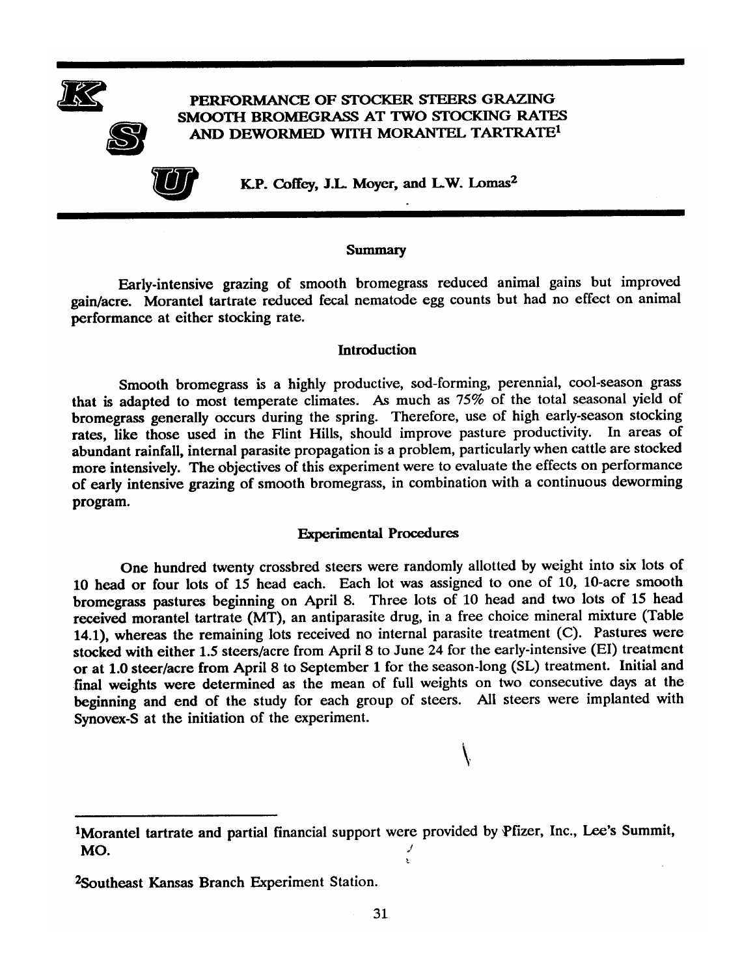

#### PERFORMANCE OF STOCKER STEERS GRAZING SMOOTH BROMEGRASS AT TWO STOCKING RATES AND DEWORMED WITH MORANTEL TARTRATE<sup>1</sup>



K.P. Coffey, J.L. Moyer, and L.W. Lomas<sup>2</sup>

#### **Summary**

Early-intensive grazing of smooth bromegrass reduced animal gains but improved gain/acre. Morantel tartrate reduced fecal nematode egg counts but had no effect on animal performance at either stocking rate.

#### **Introduction**

Smooth bromegrass is a highly productive, sod-forming, perennial, cool-season grass that is adapted to most temperate climates. As much as 75% of the total seasonal yield of bromegrass generally occurs during the spring. Therefore, use of high early-season stocking rates, like those used in the Flint Hills, should improve pasture productivity. In areas of abundant rainfall, internal parasite propagation is a problem, particularly when cattle are stocked more intensively. The objectives of this experiment were to evaluate the effects on performance of early intensive grazing of smooth bromegrass, in combination with a continuous deworming program.

#### **Experimental Procedures**

One hundred twenty crossbred steers were randomly allotted by weight into six lots of 10 head or four lots of 15 head each. Each lot was assigned to one of 10, 10-acre smooth bromegrass pastures beginning on April 8. Three lots of 10 head and two lots of 15 head received morantel tartrate (MT), an antiparasite drug, in a free choice mineral mixture (Table 14.1), whereas the remaining lots received no internal parasite treatment (C). Pastures were stocked with either 1.5 steers/acre from April 8 to June 24 for the early-intensive (EI) treatment or at 1.0 steer/acre from April 8 to September 1 for the season-long (SL) treatment. Initial and final weights were determined as the mean of full weights on two consecutive days at the beginning and end of the study for each group of steers. All steers were implanted with Synovex-S at the initiation of the experiment.

<sup>&</sup>lt;sup>1</sup>Morantel tartrate and partial financial support were provided by Pfizer, Inc., Lee's Summit, MO.

<sup>&</sup>lt;sup>2</sup>Southeast Kansas Branch Experiment Station.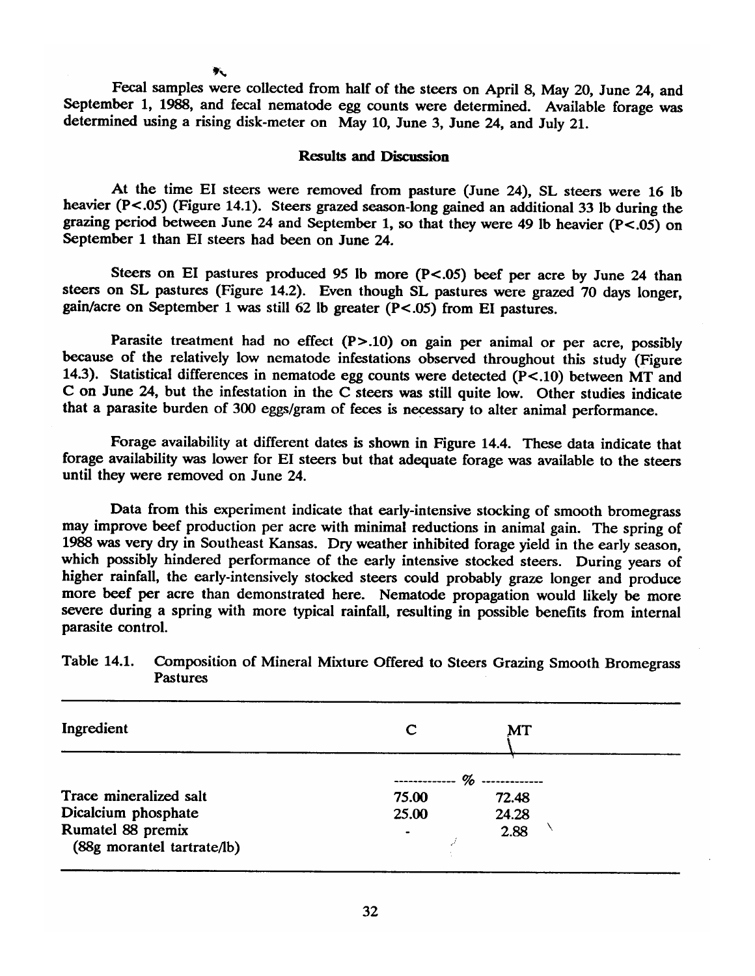Fecal samples were collected from half of the steers on April 8, May 20, June 24, and September 1, 1988, and fecal nematode egg counts were determined. Available forage was determined using a rising disk-meter on May 10, June 3, June 24, and July 21.

#### **Results and Discussion**

At the time EI steers were removed from pasture (June 24). SL steers were 16 lb heavier  $(P<.05)$  (Figure 14.1). Steers grazed season-long gained an additional 33 lb during the grazing period between June 24 and September 1, so that they were 49 lb heavier ( $P < .05$ ) on September 1 than EI steers had been on June 24.

Steers on EI pastures produced 95 lb more (P<.05) beef per acre by June 24 than steers on SL pastures (Figure 14.2). Even though SL pastures were grazed 70 days longer, gain/acre on September 1 was still 62 lb greater  $(P < .05)$  from EI pastures.

Parasite treatment had no effect  $(P > .10)$  on gain per animal or per acre, possibly because of the relatively low nematode infestations observed throughout this study (Figure 14.3). Statistical differences in nematode egg counts were detected  $(P<.10)$  between MT and C on June 24, but the infestation in the C steers was still quite low. Other studies indicate that a parasite burden of 300 eggs/gram of feces is necessary to alter animal performance.

Forage availability at different dates is shown in Figure 14.4. These data indicate that forage availability was lower for EI steers but that adequate forage was available to the steers until they were removed on June 24.

Data from this experiment indicate that early-intensive stocking of smooth bromegrass may improve beef production per acre with minimal reductions in animal gain. The spring of 1988 was very dry in Southeast Kansas. Dry weather inhibited forage yield in the early season, which possibly hindered performance of the early intensive stocked steers. During years of higher rainfall, the early-intensively stocked steers could probably graze longer and produce more beef per acre than demonstrated here. Nematode propagation would likely be more severe during a spring with more typical rainfall, resulting in possible benefits from internal parasite control.

| Ingredient                                      | C                                    | MT    |  |
|-------------------------------------------------|--------------------------------------|-------|--|
|                                                 | $\%$ --------------<br>------------- |       |  |
| Trace mineralized salt                          | 75.00                                | 72.48 |  |
| Dicalcium phosphate                             | 25.00                                | 24.28 |  |
| Rumatel 88 premix<br>(88g morantel tartrate/lb) |                                      | 2.88  |  |

#### **Table 14.1.** Composition of Mineral Mixture Offered to Steers Grazing Smooth Bromegrass **Pastures**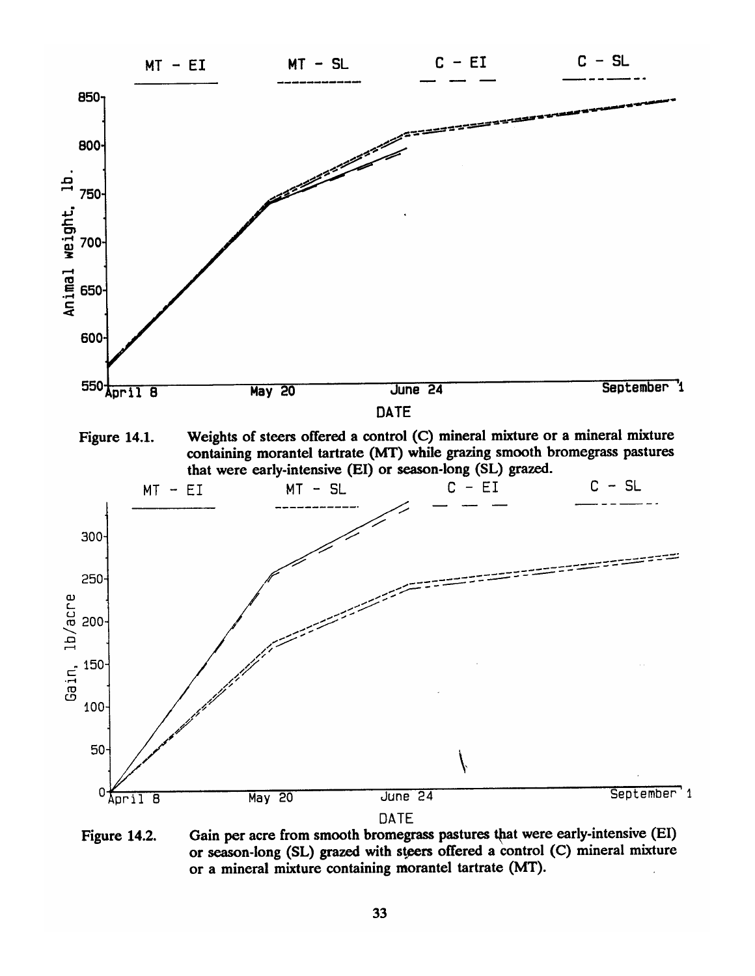

Gain per acre from smooth bromegrass pastures that were early-intensive (EI) Figure 14.2. or season-long (SL) grazed with steers offered a control (C) mineral mixture or a mineral mixture containing morantel tartrate (MT).